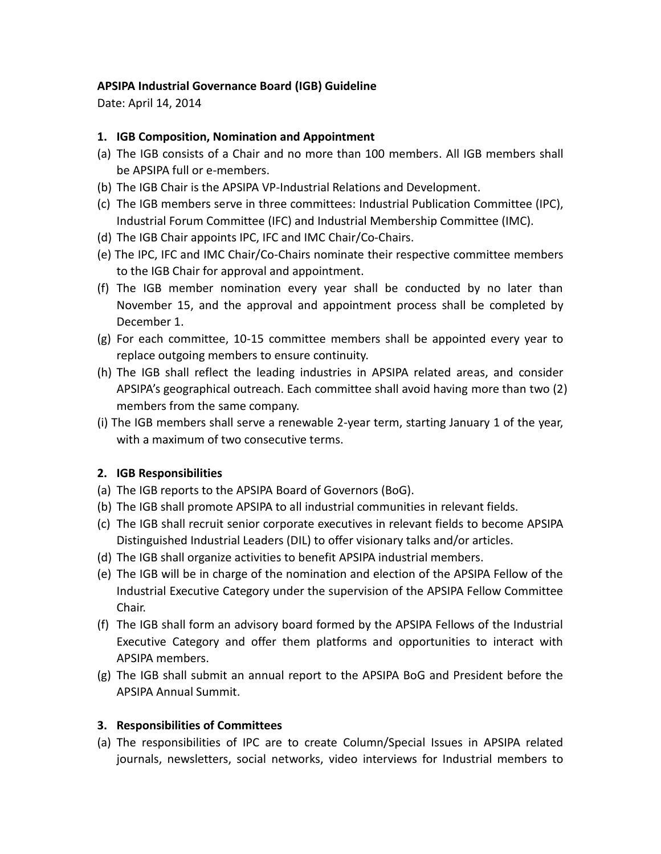## **APSIPA Industrial Governance Board (IGB) Guideline**

Date: April 14, 2014

## **1. IGB Composition, Nomination and Appointment**

- (a) The IGB consists of a Chair and no more than 100 members. All IGB members shall be APSIPA full or e-members.
- (b) The IGB Chair is the APSIPA VP-Industrial Relations and Development.
- (c) The IGB members serve in three committees: Industrial Publication Committee (IPC), Industrial Forum Committee (IFC) and Industrial Membership Committee (IMC).
- (d) The IGB Chair appoints IPC, IFC and IMC Chair/Co-Chairs.
- (e) The IPC, IFC and IMC Chair/Co-Chairs nominate their respective committee members to the IGB Chair for approval and appointment.
- (f) The IGB member nomination every year shall be conducted by no later than November 15, and the approval and appointment process shall be completed by December 1.
- (g) For each committee, 10-15 committee members shall be appointed every year to replace outgoing members to ensure continuity.
- (h) The IGB shall reflect the leading industries in APSIPA related areas, and consider APSIPA's geographical outreach. Each committee shall avoid having more than two (2) members from the same company.
- (i) The IGB members shall serve a renewable 2-year term, starting January 1 of the year, with a maximum of two consecutive terms.

## **2. IGB Responsibilities**

- (a) The IGB reports to the APSIPA Board of Governors (BoG).
- (b) The IGB shall promote APSIPA to all industrial communities in relevant fields.
- (c) The IGB shall recruit senior corporate executives in relevant fields to become APSIPA Distinguished Industrial Leaders (DIL) to offer visionary talks and/or articles.
- (d) The IGB shall organize activities to benefit APSIPA industrial members.
- (e) The IGB will be in charge of the nomination and election of the APSIPA Fellow of the Industrial Executive Category under the supervision of the APSIPA Fellow Committee Chair.
- (f) The IGB shall form an advisory board formed by the APSIPA Fellows of the Industrial Executive Category and offer them platforms and opportunities to interact with APSIPA members.
- (g) The IGB shall submit an annual report to the APSIPA BoG and President before the APSIPA Annual Summit.

## **3. Responsibilities of Committees**

(a) The responsibilities of IPC are to create Column/Special Issues in APSIPA related journals, newsletters, social networks, video interviews for Industrial members to